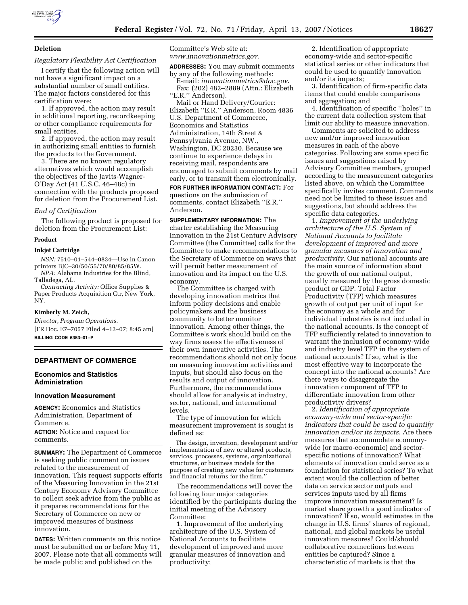

# **Deletion**

# *Regulatory Flexibility Act Certification*

I certify that the following action will not have a significant impact on a substantial number of small entities. The major factors considered for this certification were:

1. If approved, the action may result in additional reporting, recordkeeping or other compliance requirements for small entities.

2. If approved, the action may result in authorizing small entities to furnish the products to the Government.

3. There are no known regulatory alternatives which would accomplish the objectives of the Javits-Wagner-O'Day Act (41 U.S.C. 46–48c) in connection with the products proposed for deletion from the Procurement List.

#### *End of Certification*

The following product is proposed for deletion from the Procurement List:

### **Product**

### **Inkjet Cartridge**

*NSN:* 7510–01–544–0834—Use in Canon printers BJC–30/50/55/70/80/85/85W. *NPA:* Alabama Industries for the Blind,

Talladega, AL.

*Contracting Activity:* Office Supplies & Paper Products Acquisition Ctr, New York, NY.

### **Kimberly M. Zeich,**

*Director, Program Operations.*  [FR Doc. E7–7057 Filed 4–12–07; 8:45 am] **BILLING CODE 6353–01–P** 

# **DEPARTMENT OF COMMERCE**

### **Economics and Statistics Administration**

## **Innovation Measurement**

**AGENCY:** Economics and Statistics Administration, Department of Commerce. **ACTION:** Notice and request for

comments.

**SUMMARY:** The Department of Commerce is seeking public comment on issues related to the measurement of innovation. This request supports efforts of the Measuring Innovation in the 21st Century Economy Advisory Committee to collect seek advice from the public as it prepares recommendations for the Secretary of Commerce on new or improved measures of business innovation.

**DATES:** Written comments on this notice must be submitted on or before May 11, 2007. Please note that all comments will be made public and published on the

Committee's Web site at: *www.innovationmetrics.gov*.

**ADDRESSES:** You may submit comments

by any of the following methods: E-mail: *innovationmetrics@doc.gov*.

Fax: (202) 482–2889 (Attn.: Elizabeth "E.R." Anderson).

Mail or Hand Delivery/Courier: Elizabeth ''E.R.'' Anderson, Room 4836 U.S. Department of Commerce, Economics and Statistics Administration, 14th Street & Pennsylvania Avenue, NW., Washington, DC 20230. Because we continue to experience delays in receiving mail, respondents are encouraged to submit comments by mail early, or to transmit them electronically. **FOR FURTHER INFORMATION CONTACT:** For

questions on the submission of comments, contact Elizabeth ''E.R.'' Anderson.

**SUPPLEMENTARY INFORMATION:** The charter establishing the Measuring Innovation in the 21st Century Advisory Committee (the Committee) calls for the Committee to make recommendations to the Secretary of Commerce on ways that will permit better measurement of innovation and its impact on the U.S. economy.

The Committee is charged with developing innovation metrics that inform policy decisions and enable policymakers and the business community to better monitor innovation. Among other things, the Committee's work should build on the way firms assess the effectiveness of their own innovative activities. The recommendations should not only focus on measuring innovation activities and inputs, but should also focus on the results and output of innovation. Furthermore, the recommendations should allow for analysis at industry, sector, national, and international levels.

The type of innovation for which measurement improvement is sought is defined as:

The design, invention, development and/or implementation of new or altered products, services, processes, systems, organizational structures, or business models for the purpose of creating new value for customers and financial returns for the firm.''

The recommendations will cover the following four major categories identified by the participants during the initial meeting of the Advisory Committee:

1. Improvement of the underlying architecture of the U.S. System of National Accounts to facilitate development of improved and more granular measures of innovation and productivity;

2. Identification of appropriate economy-wide and sector-specific statistical series or other indicators that could be used to quantify innovation and/or its impacts;

3. Identification of firm-specific data items that could enable comparisons and aggregation; and

4. Identification of specific ''holes'' in the current data collection system that limit our ability to measure innovation.

Comments are solicited to address new and/or improved innovation measures in each of the above categories. Following are some specific issues and suggestions raised by Advisory Committee members, grouped according to the measurement categories listed above, on which the Committee specifically invites comment. Comments need not be limited to these issues and suggestions, but should address the specific data categories.

1. *Improvement of the underlying architecture of the U.S. System of National Accounts to facilitate development of improved and more granular measures of innovation and productivity.* Our national accounts are the main source of information about the growth of our national output, usually measured by the gross domestic product or GDP. Total Factor Productivity (TFP) which measures growth of output per unit of input for the economy as a whole and for individual industries is not included in the national accounts. Is the concept of TFP sufficiently related to innovation to warrant the inclusion of economy-wide and industry level TFP in the system of national accounts? If so, what is the most effective way to incorporate the concept into the national accounts? Are there ways to disaggregate the innovation component of TFP to differentiate innovation from other productivity drivers?

2. *Identification of appropriate economy-wide and sector-specific indicators that could be used to quantify innovation and/or its impacts.* Are there measures that accommodate economywide (or macro-economic) and sectorspecific notions of innovation? What elements of innovation could serve as a foundation for statistical series? To what extent would the collection of better data on service sector outputs and services inputs used by all firms improve innovation measurement? Is market share growth a good indicator of innovation? If so, would estimates in the change in U.S. firms' shares of regional, national, and global markets be useful innovation measures? Could/should collaborative connections between entities be captured? Since a characteristic of markets is that the